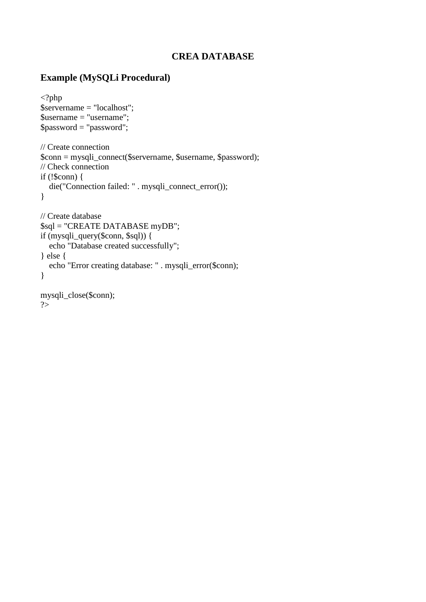#### **CREA DATABASE**

#### **Example (MySQLi Procedural)**

```
<?php
$servername = "localhost";
$username = "username";
$password = "password";
// Create connection
$conn = mysqli_connect($servername, $username, $password);
// Check connection
if (!$conn) {
   die("Connection failed: " . mysqli_connect_error());
}
// Create database
$sql = "CREATE DATABASE myDB";
if (mysqli_query($conn, $sql)) {
  echo "Database created successfully";
} else {
  echo "Error creating database: " . mysqli_error($conn);
}
mysqli_close($conn);
```
?>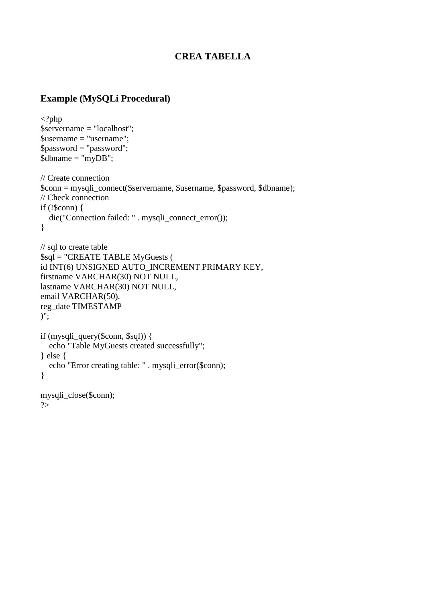#### **CREA TABELLA**

```
\langle?php
sservername = "localhost";
$username = "username";
$password = "password";
$dbname = "myDB";// Create connection
$conn = mysqli_connect($servername, $username, $password, $dbname);
// Check connection
if (!$conn) {
   die("Connection failed: " . mysqli_connect_error());
}
// sql to create table
$sql = "CREATE TABLE MyGuests (
id INT(6) UNSIGNED AUTO_INCREMENT PRIMARY KEY, 
firstname VARCHAR(30) NOT NULL,
lastname VARCHAR(30) NOT NULL,
email VARCHAR(50),
reg_date TIMESTAMP
)";
if (mysqli_query($conn, $sql)) {
  echo "Table MyGuests created successfully";
} else {
   echo "Error creating table: " . mysqli_error($conn);
}
mysqli_close($conn);
?>
```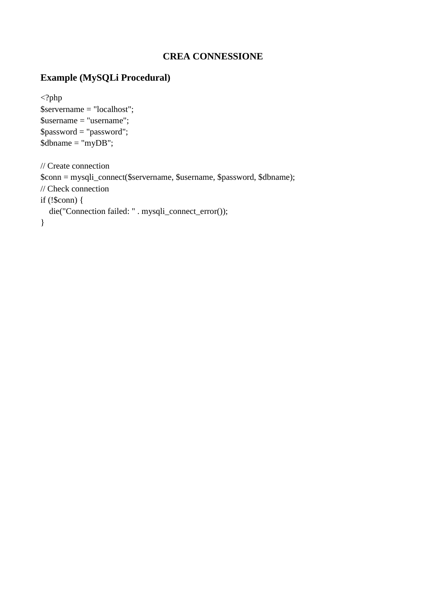### **CREA CONNESSIONE**

## **Example (MySQLi Procedural)**

<?php \$servername = "localhost"; \$username = "username";  $spassword = "password";$  $$dbname = "myDB";$ // Create connection \$conn = mysqli\_connect(\$servername, \$username, \$password, \$dbname); // Check connection if (!\$conn) { die("Connection failed: " . mysqli\_connect\_error()); }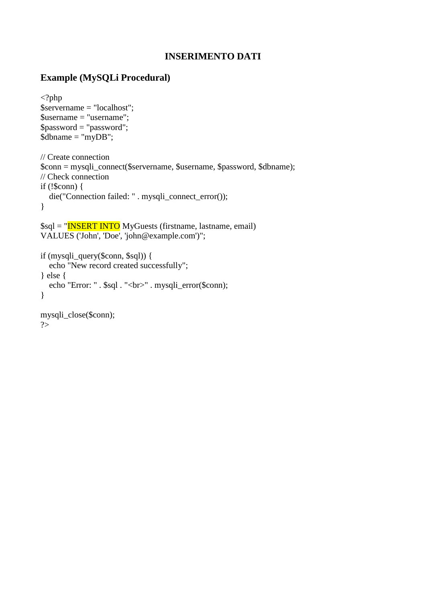#### **INSERIMENTO DATI**

```
\langle?php
$servername = "localhost";
$username = "username";
$password = "password";
\overrightarrow{\text{Sdbname}} = \text{"myDB";}// Create connection
$conn = mysqli_connect($servername, $username, $password, $dbname);
// Check connection
if (!$conn) {
   die("Connection failed: " . mysqli_connect_error());
}
$sql = "INSERT INTO MyGuests (firstname, lastname, email)
VALUES ('John', 'Doe', 'john@example.com')";
if (mysqli_query($conn, $sql)) {
   echo "New record created successfully";
} else {
  echo "Error: " . $sql . "<br>' . mysqli error($conn);
}
mysqli_close($conn);
\approx
```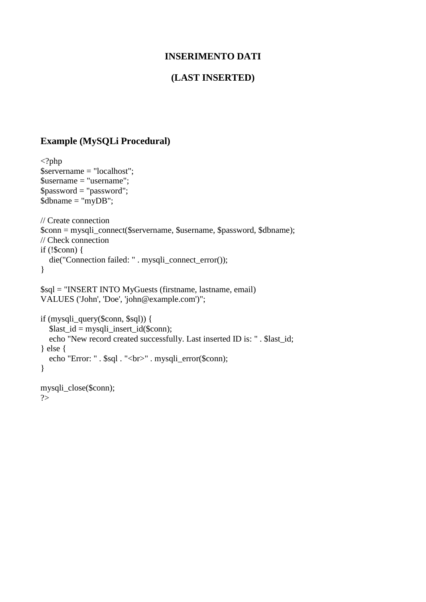#### **INSERIMENTO DATI**

#### **(LAST INSERTED)**

```
\langle?php
sservername = "localhost":
$username = "username";
$password = "password";
$dbname = "myDB";// Create connection
$conn = mysqli_connect($servername, $username, $password, $dbname);
// Check connection
if (!$conn) {
   die("Connection failed: " . mysqli_connect_error());
}
$sql = "INSERT INTO MyGuests (firstname, lastname, email)
VALUES ('John', 'Doe', 'john@example.com')";
if (mysqli_query($conn, $sql)) {
   $last_id = mysqli_insert_id($conn);
   echo "New record created successfully. Last inserted ID is: " . $last_id;
} else {
  echo "Error: " . $sql . "<br>' . mysqli_error($conn);
}
mysqli_close($conn);
?>
```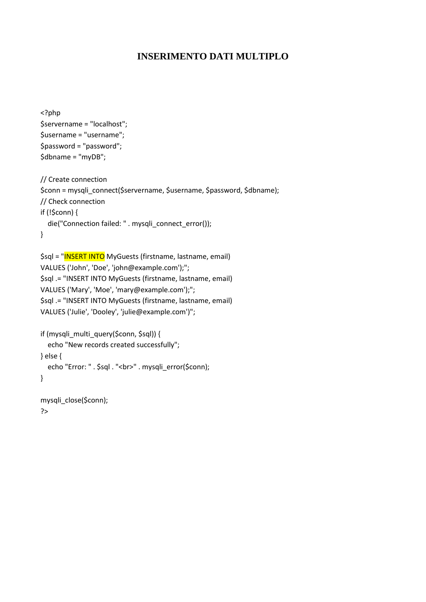### **INSERIMENTO DATI MULTIPLO**

```
<?php
$servername = "localhost";
$username = "username";
$password = "password";
$dbname = "myDB";
// Create connection
$conn = mysqli_connect($servername, $username, $password, $dbname);
// Check connection
if (!$conn) {
   die("Connection failed: " . mysqli_connect_error());
}
$sql = "INSERT INTO MyGuests (firstname, lastname, email)
VALUES ('John', 'Doe', 'john@example.com');";
$sql .= "INSERT INTO MyGuests (firstname, lastname, email)
VALUES ('Mary', 'Moe', 'mary@example.com');";
$sql .= "INSERT INTO MyGuests (firstname, lastname, email)
VALUES ('Julie', 'Dooley', 'julie@example.com')";
if (mysqli_multi_query($conn, $sql)) {
   echo "New records created successfully";
} else {
  echo "Error: " . $sql . "<br>" . mysqli_error($conn);
}
mysqli_close($conn);
?>
```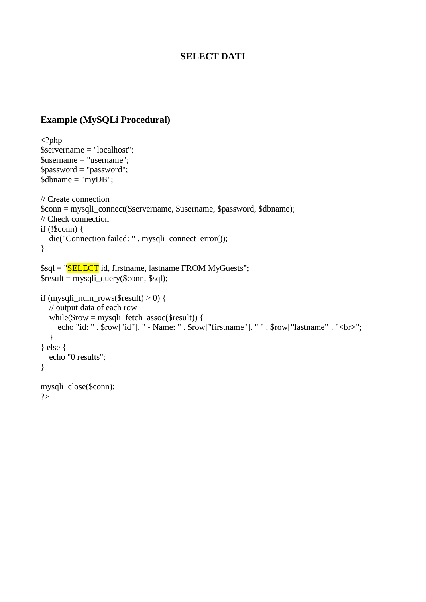#### **SELECT DATI**

```
<?php
$servername = "localhost";
$username = "username";
$password = "password";
\overrightarrow{\text{Sdbname}} = \text{"myDB";}// Create connection
$conn = mysqli_connect($servername, $username, $password, $dbname);
// Check connection
if (!$conn) {
  die("Connection failed: " . mysqli_connect_error());
}
$sql = "SELECT id, firstname, lastname FROM MyGuests";
$result = mysqli_query(\$conn, $sq];if (mysqli_num_rows($result) > 0) {
   // output data of each row
  while(\text{from} = \text{mysgli}\left[\text{ftch}\right] assoc(\text{S}result)) {
      echo "id: " . $row["id"]. " - Name: " . $row["firstname"]. " " . $row["lastname"]. "<br>";
    }
} else {
   echo "0 results";
}
mysqli_close($conn);
?>
```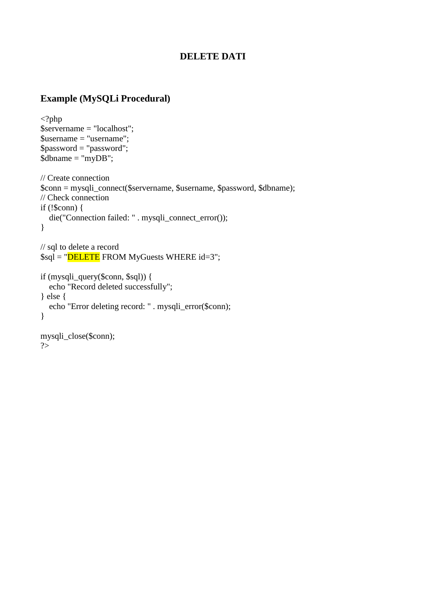#### **DELETE DATI**

```
<?php
sservername = "localhost";
$username = "username";$password = "password";
$dbname = "myDB";// Create connection
$conn = mysqli_connect($servername, $username, $password, $dbname);
// Check connection
if (!$conn) {
   die("Connection failed: " . mysqli_connect_error());
}
// sql to delete a record
$sql = "DELETE FROM MyGuests WHERE id=3";
if (mysqli_query($conn, $sql)) {
  echo "Record deleted successfully";
} else {
   echo "Error deleting record: " . mysqli_error($conn);
}
mysqli_close($conn);
?>
```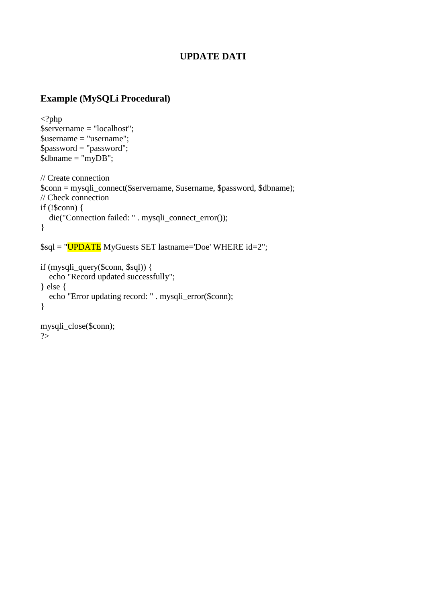#### **UPDATE DATI**

```
<?php
sservername = "localhost";
$username = "username";$password = "password";
\text{\AA}bname = "myDB";
// Create connection
$conn = mysqli_connect($servername, $username, $password, $dbname);
// Check connection
if (!$conn) {
   die("Connection failed: " . mysqli_connect_error());
}
$sql = "UPDATE MyGuests SET lastname='Doe' WHERE id=2";
if (mysqli_query($conn, $sql)) {
  echo "Record updated successfully";
} else {
   echo "Error updating record: " . mysqli_error($conn);
}
mysqli_close($conn);
?>
```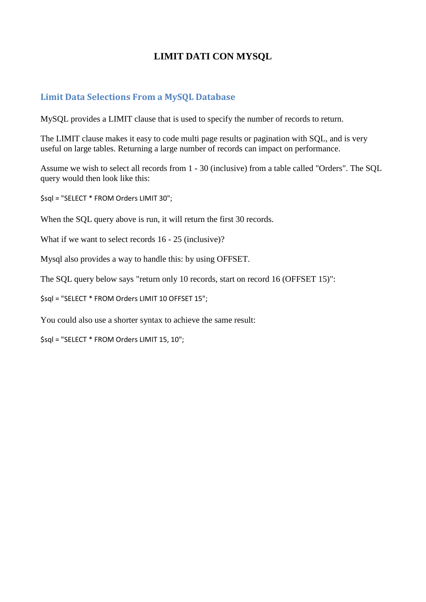## **LIMIT DATI CON MYSQL**

#### **Limit Data Selections From a MySQL Database**

MySQL provides a LIMIT clause that is used to specify the number of records to return.

The LIMIT clause makes it easy to code multi page results or pagination with SQL, and is very useful on large tables. Returning a large number of records can impact on performance.

Assume we wish to select all records from 1 - 30 (inclusive) from a table called "Orders". The SQL query would then look like this:

\$sql = "SELECT \* FROM Orders LIMIT 30";

When the SQL query above is run, it will return the first 30 records.

What if we want to select records 16 - 25 (inclusive)?

Mysql also provides a way to handle this: by using OFFSET.

The SQL query below says "return only 10 records, start on record 16 (OFFSET 15)":

\$sql = "SELECT \* FROM Orders LIMIT 10 OFFSET 15";

You could also use a shorter syntax to achieve the same result:

\$sql = "SELECT \* FROM Orders LIMIT 15, 10";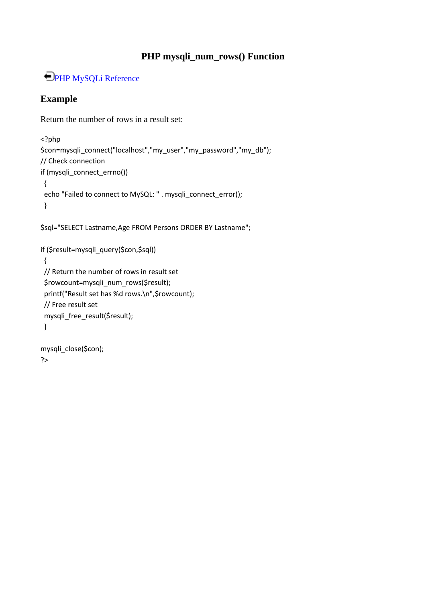## **PHP mysqli\_num\_rows() Function**

## **[PHP MySQLi Reference](http://www.w3schools.com/php/php_ref_mysqli.asp)**

### **Example**

Return the number of rows in a result set:

```
<?php
$con=mysqli_connect("localhost","my_user","my_password","my_db");
// Check connection
if (mysqli_connect_errno())
 {
echo "Failed to connect to MySQL: " . mysqli_connect_error();
 }
```
\$sql="SELECT Lastname,Age FROM Persons ORDER BY Lastname";

if (\$result=mysqli\_query(\$con,\$sql)) { // Return the number of rows in result set \$rowcount=mysqli\_num\_rows(\$result); printf("Result set has %d rows.\n",\$rowcount); // Free result set mysqli\_free\_result(\$result); }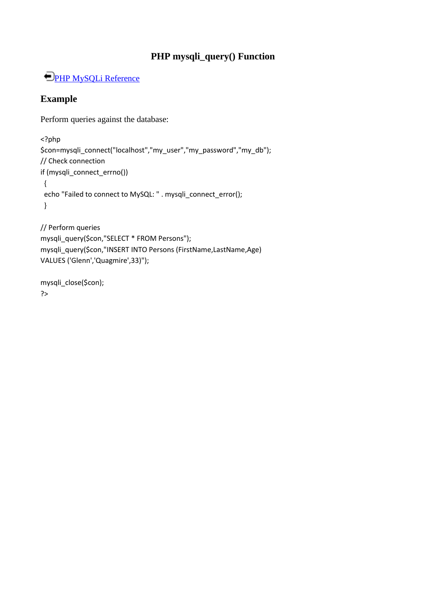## **PHP mysqli\_query() Function**

## **[PHP MySQLi Reference](http://www.w3schools.com/php/php_ref_mysqli.asp)**

## **Example**

Perform queries against the database:

```
<?php
$con=mysqli_connect("localhost","my_user","my_password","my_db");
// Check connection
if (mysqli_connect_errno())
 {
echo "Failed to connect to MySQL: " . mysqli_connect_error();
 }
```

```
// Perform queries 
mysqli_query($con,"SELECT * FROM Persons");
mysqli_query($con,"INSERT INTO Persons (FirstName,LastName,Age) 
VALUES ('Glenn','Quagmire',33)");
```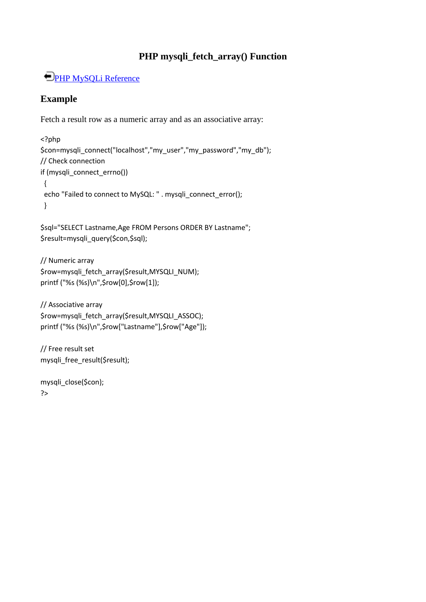## **PHP mysqli\_fetch\_array() Function**

## **[PHP MySQLi Reference](http://www.w3schools.com/php/php_ref_mysqli.asp)**

## **Example**

Fetch a result row as a numeric array and as an associative array:

```
<?php
$con=mysqli_connect("localhost","my_user","my_password","my_db");
// Check connection
if (mysqli_connect_errno())
 {
echo "Failed to connect to MySQL: " . mysqli_connect_error();
 }
```
\$sql="SELECT Lastname,Age FROM Persons ORDER BY Lastname"; \$result=mysqli\_query(\$con,\$sql);

```
// Numeric array
$row=mysqli_fetch_array($result,MYSQLI_NUM);
printf ("%s (%s)\n",$row[0],$row[1]);
```
// Associative array \$row=mysqli\_fetch\_array(\$result,MYSQLI\_ASSOC); printf ("%s (%s)\n",\$row["Lastname"],\$row["Age"]);

// Free result set mysqli\_free\_result(\$result);

```
mysqli_close($con);
?>
```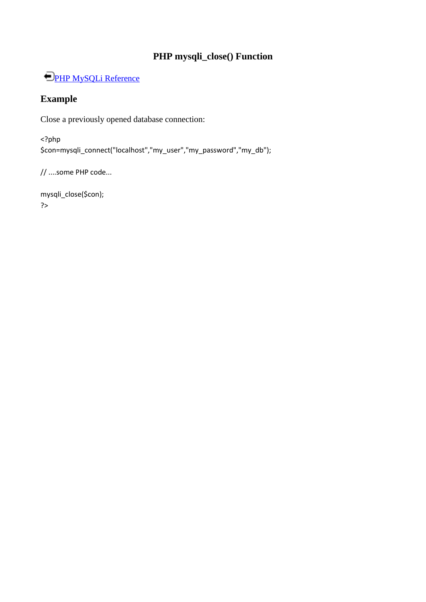## **PHP mysqli\_close() Function**

# **[PHP MySQLi Reference](http://www.w3schools.com/php/php_ref_mysqli.asp)**

## **Example**

Close a previously opened database connection:

<?php \$con=mysqli\_connect("localhost","my\_user","my\_password","my\_db");

// ....some PHP code...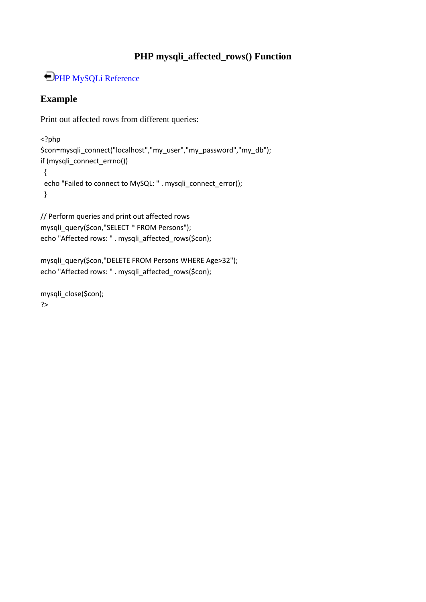## **PHP mysqli\_affected\_rows() Function**

## **[PHP MySQLi Reference](http://www.w3schools.com/php/php_ref_mysqli.asp)**

## **Example**

Print out affected rows from different queries:

```
<?php
$con=mysqli_connect("localhost","my_user","my_password","my_db");
if (mysqli_connect_errno())
 {
echo "Failed to connect to MySQL: " . mysqli_connect_error();
 }
```

```
// Perform queries and print out affected rows
mysqli_query($con,"SELECT * FROM Persons");
echo "Affected rows: " . mysqli_affected_rows($con);
```

```
mysqli_query($con,"DELETE FROM Persons WHERE Age>32");
echo "Affected rows: " . mysqli_affected_rows($con);
```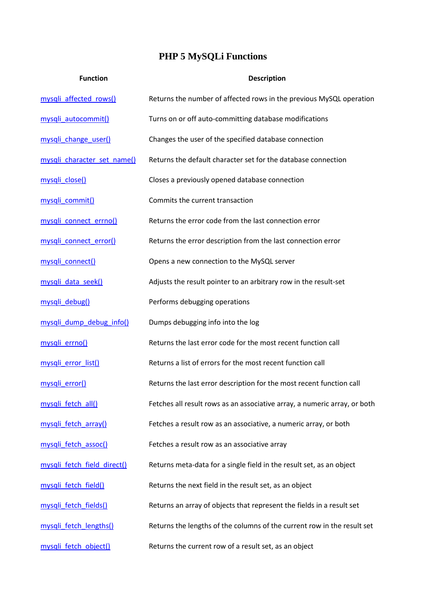# **PHP 5 MySQLi Functions**

| <b>Function</b>             | <b>Description</b>                                                        |
|-----------------------------|---------------------------------------------------------------------------|
| mysqli affected rows()      | Returns the number of affected rows in the previous MySQL operation       |
| mysqli_autocommit()         | Turns on or off auto-committing database modifications                    |
| mysqli_change_user()        | Changes the user of the specified database connection                     |
| mysqli character set name() | Returns the default character set for the database connection             |
| mysqli_close()              | Closes a previously opened database connection                            |
| mysqli commit()             | Commits the current transaction                                           |
| mysqli connect errno()      | Returns the error code from the last connection error                     |
| mysqli connect error()      | Returns the error description from the last connection error              |
| mysqli_connect()            | Opens a new connection to the MySQL server                                |
| mysqli_data_seek()          | Adjusts the result pointer to an arbitrary row in the result-set          |
| mysqli debug()              | Performs debugging operations                                             |
| mysqli dump debug info()    | Dumps debugging info into the log                                         |
| mysqli errno()              | Returns the last error code for the most recent function call             |
| mysqli_error_list()         | Returns a list of errors for the most recent function call                |
| mysqli error()              | Returns the last error description for the most recent function call      |
| mysqli fetch all()          | Fetches all result rows as an associative array, a numeric array, or both |
| mysqli fetch array()        | Fetches a result row as an associative, a numeric array, or both          |
| mysqli_fetch_assoc()        | Fetches a result row as an associative array                              |
| mysqli fetch field direct() | Returns meta-data for a single field in the result set, as an object      |
| mysqli fetch field()        | Returns the next field in the result set, as an object                    |
| mysqli fetch fields()       | Returns an array of objects that represent the fields in a result set     |
| mysqli fetch lengths()      | Returns the lengths of the columns of the current row in the result set   |
| mysqli fetch object()       | Returns the current row of a result set, as an object                     |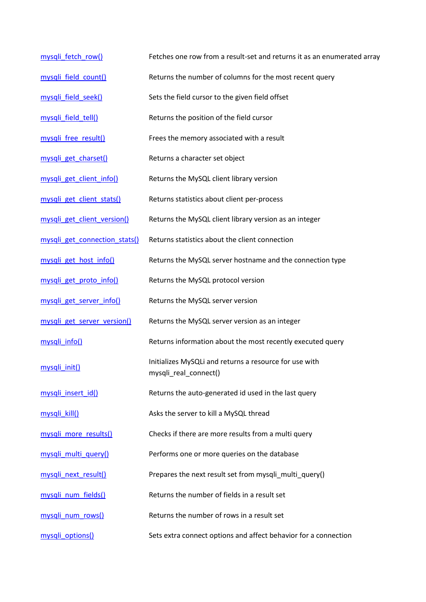| mysqli_fetch_row()            | Fetches one row from a result-set and returns it as an enumerated array         |
|-------------------------------|---------------------------------------------------------------------------------|
| mysqli field count()          | Returns the number of columns for the most recent query                         |
| mysqli field seek()           | Sets the field cursor to the given field offset                                 |
| mysqli field tell()           | Returns the position of the field cursor                                        |
| mysqli_free_result()          | Frees the memory associated with a result                                       |
| mysqli get charset()          | Returns a character set object                                                  |
| mysqli get client info()      | Returns the MySQL client library version                                        |
| mysqli get client stats()     | Returns statistics about client per-process                                     |
| mysqli get client version()   | Returns the MySQL client library version as an integer                          |
| mysqli get connection stats() | Returns statistics about the client connection                                  |
| mysqli get host info()        | Returns the MySQL server hostname and the connection type                       |
| mysqli get proto info()       | Returns the MySQL protocol version                                              |
| mysqli get server info()      | Returns the MySQL server version                                                |
| mysqli get server version()   | Returns the MySQL server version as an integer                                  |
| mysqli info()                 | Returns information about the most recently executed query                      |
| mysqli_init()                 | Initializes MySQLi and returns a resource for use with<br>mysqli_real_connect() |
| mysqli insert id()            | Returns the auto-generated id used in the last query                            |
| mysqli kill()                 | Asks the server to kill a MySQL thread                                          |
| mysqli more results()         | Checks if there are more results from a multi query                             |
| mysqli multi query()          | Performs one or more queries on the database                                    |
| mysqli next result()          | Prepares the next result set from mysqli_multi_query()                          |
| mysqli num fields()           | Returns the number of fields in a result set                                    |
| mysqli_num_rows()             | Returns the number of rows in a result set                                      |
| mysqli_options()              | Sets extra connect options and affect behavior for a connection                 |